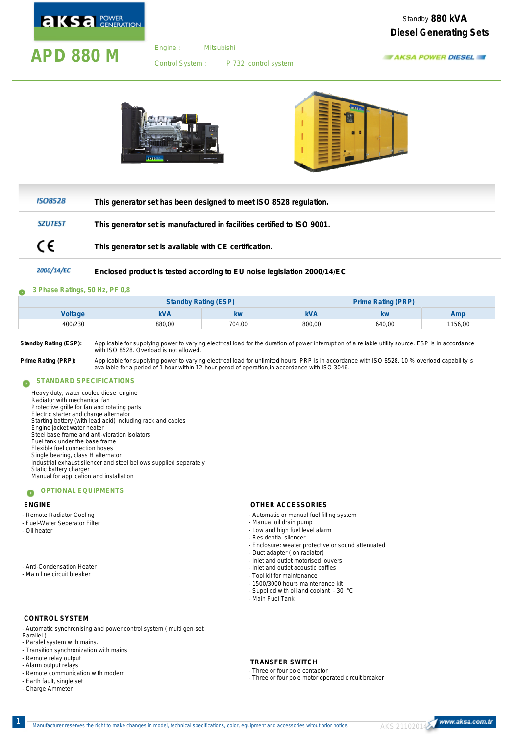

Engine :

# **APD 880 M** Engine: Mitsubishi

P 732 control system Control System :





| <b>ISO8528</b> | This generator set has been designed to meet ISO 8528 regulation.       |
|----------------|-------------------------------------------------------------------------|
| <b>SZUTEST</b> | This generator set is manufactured in facilities certified to ISO 9001. |
| €              | This generator set is available with CE certification.                  |
| ________       |                                                                         |

#### 2000/14/EC **Enclosed product is tested according to EU noise legislation 2000/14/EC**

#### **3 Phase Ratings, 50 Hz, PF 0,8** G

|         | <b>Standby Rating (ESP)</b> |        | Prime Rating (PRP) |        |        |
|---------|-----------------------------|--------|--------------------|--------|--------|
| Voltage | kVA                         | kw     | <b>kVA</b>         | kw     | Amp    |
| 400/230 | 880,00                      | 704,00 | 800,00             | 640,00 | 156,00 |

**Standby Rating (ESP):** Applicable for supplying power to varying electrical load for the duration of power interruption of a reliable utility source. ESP is in accordance with ISO 8528. Overload is not allowed.

Prime Rating (PRP): Applicable for supplying power to varying electrical load for unlimited hours. PRP is in accordance with ISO 8528. 10 % overload capability is<br>available for a period of 1 hour within 12-hour perod of op

#### **STANDARD SPECIFICATIONS** Ω

Heavy duty, water cooled diesel engine Radiator with mechanical fan Protective grille for fan and rotating parts Electric starter and charge alternator Starting battery (with lead acid) including rack and cables Engine jacket water heater Steel base frame and anti-vibration isolators Fuel tank under the base frame Flexible fuel connection hoses Single bearing, class H alternator Industrial exhaust silencer and steel bellows supplied separately Static battery charger Manual for application and installation

#### **OPTIONAL EQUIPMENTS**  $\bullet$

### **ENGINE**

- Remote Radiator Cooling
- Fuel-Water Seperator Filter
- Oil heater

- Anti-Condensation Heater

## - Main line circuit breaker

## **CONTROL SYSTEM**

- Automatic synchronising and power control system ( multi gen-set Parallel )

- Paralel system with mains.
- Transition synchronization with mains
- Remote relay output
- Alarm output relays
- Remote communication with modem
- Earth fault, single set
- Charge Ammeter

### **OTHER ACCESSORIES**

- Automatic or manual fuel filling system
- Manual oil drain pump
- Low and high fuel level alarm
- Residential silencer
- Enclosure: weater protective or sound attenuated
- Duct adapter ( on radiator)
- Inlet and outlet acoustic baffles - Inlet and outlet motorised louvers
- Tool kit for maintenance
- 1500/3000 hours maintenance kit
- Supplied with oil and coolant 30 °C
- Main Fuel Tank

**TRANSFER SWITCH**

- Three or four pole contactor
- Three or four pole motor operated circuit breaker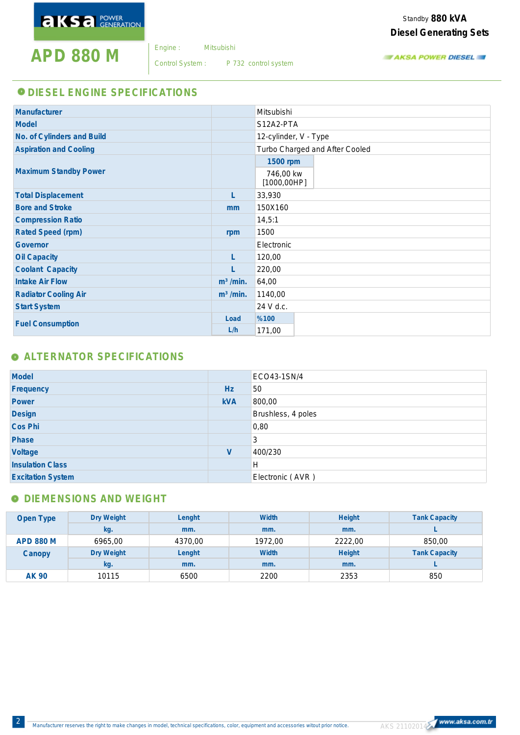**APD 880 M** Engine: Mitsubishi

Engine :

Control System : P 732 control system

Standby 880 kVA **Diesel Generating Sets**

**TAKSA POWER DIESEL** 

## **O DIESEL ENGINE SPECIFICATIONS**

| Manufacturer                  |                       | Mitsubishi                     |
|-------------------------------|-----------------------|--------------------------------|
| Model                         |                       | S12A2-PTA                      |
| No. of Cylinders and Build    |                       | 12-cylinder, V - Type          |
| <b>Aspiration and Cooling</b> |                       | Turbo Charged and After Cooled |
|                               |                       | 1500 rpm                       |
| <b>Maximum Standby Power</b>  |                       | 746,00 kw<br>[1000, 00HP]      |
| <b>Total Displacement</b>     | L                     | 33,930                         |
| <b>Bore and Stroke</b>        | mm                    | 150X160                        |
| <b>Compression Ratio</b>      |                       | 14,5:1                         |
| Rated Speed (rpm)             | rpm                   | 1500                           |
| Governor                      |                       | Electronic                     |
| Oil Capacity                  | L                     | 120,00                         |
| Coolant Capacity              | L                     | 220,00                         |
| <b>Intake Air Flow</b>        | m <sup>3</sup> / min. | 64,00                          |
| <b>Radiator Cooling Air</b>   | m <sup>3</sup> / min. | 1140,00                        |
| <b>Start System</b>           |                       | 24 V d.c.                      |
| <b>Fuel Consumption</b>       | Load                  | %100                           |
|                               | L/h                   | 171,00                         |

# **ALTERNATOR SPECIFICATIONS**

| Model                    |            | ECO43-1SN/4        |
|--------------------------|------------|--------------------|
| Frequency                | Hz         | 50                 |
| Power                    | <b>kVA</b> | 800,00             |
| Design                   |            | Brushless, 4 poles |
| Cos Phi                  |            | 0,80               |
| Phase                    |            | 3                  |
| Voltage                  | V          | 400/230            |
| <b>Insulation Class</b>  |            | H                  |
| <b>Excitation System</b> |            | Electronic (AVR)   |

# **O DIEMENSIONS AND WEIGHT**

| Open Type        | Dry Weight | Lenght  | Width   | <b>Height</b> | <b>Tank Capacity</b> |
|------------------|------------|---------|---------|---------------|----------------------|
|                  | kg.        | mm.     | mm.     | mm.           |                      |
| <b>APD 880 M</b> | 6965,00    | 4370,00 | 1972.00 | 2222.00       | 850,00               |
| Canopy           | Dry Weight | Lenght  | Width   | <b>Height</b> | <b>Tank Capacity</b> |
|                  | kg.        | mm.     | mm.     | mm.           |                      |
| AK 90            | 10115      | 6500    | 2200    | 2353          | 850                  |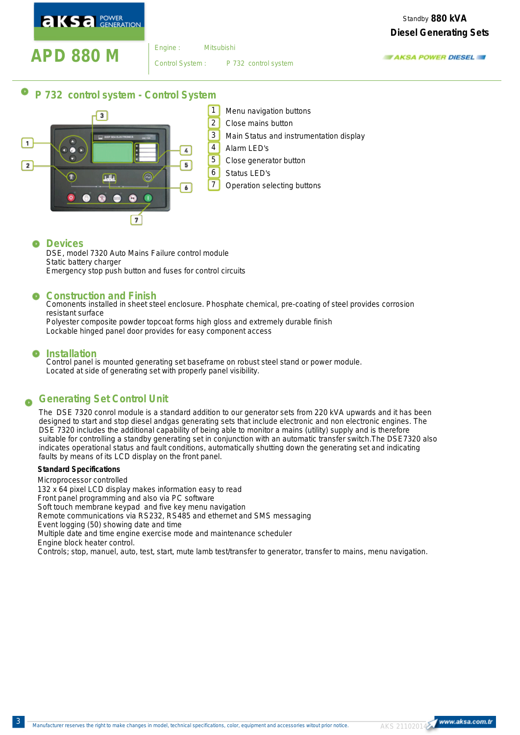**AKSA POWER** 

Standby 880 kVA **Diesel Generating Sets**

# **APD 880 M** Engine: Mitsubishi

Engine :

P 732 control system Control System :

**AKSA POWER DIESEL** 

#### 0 **P 732 control system - Control System**



#### Q **Devices**

DSE, model 7320 Auto Mains Failure control module Static battery charger Emergency stop push button and fuses for control circuits

## **Construction and Finish**

Comonents installed in sheet steel enclosure. Phosphate chemical, pre-coating of steel provides corrosion resistant surface

Polyester composite powder topcoat forms high gloss and extremely durable finish Lockable hinged panel door provides for easy component access

#### œ **Installation**

Control panel is mounted generating set baseframe on robust steel stand or power module. Located at side of generating set with properly panel visibility.

#### **Generating Set Control Unit** O

The DSE 7320 conrol module is a standard addition to our generator sets from 220 kVA upwards and it has been designed to start and stop diesel andgas generating sets that include electronic and non electronic engines. The DSE 7320 includes the additional capability of being able to monitor a mains (utility) supply and is therefore suitable for controlling a standby generating set in conjunction with an automatic transfer switch.The DSE7320 also indicates operational status and fault conditions, automatically shutting down the generating set and indicating faults by means of its LCD display on the front panel.

### **Standard Specifications**

Microprocessor controlled 132 x 64 pixel LCD display makes information easy to read Front panel programming and also via PC software Soft touch membrane keypad and five key menu navigation Remote communications via RS232, RS485 and ethernet and SMS messaging Event logging (50) showing date and time Multiple date and time engine exercise mode and maintenance scheduler Engine block heater control. Controls; stop, manuel, auto, test, start, mute lamb test/transfer to generator, transfer to mains, menu navigation.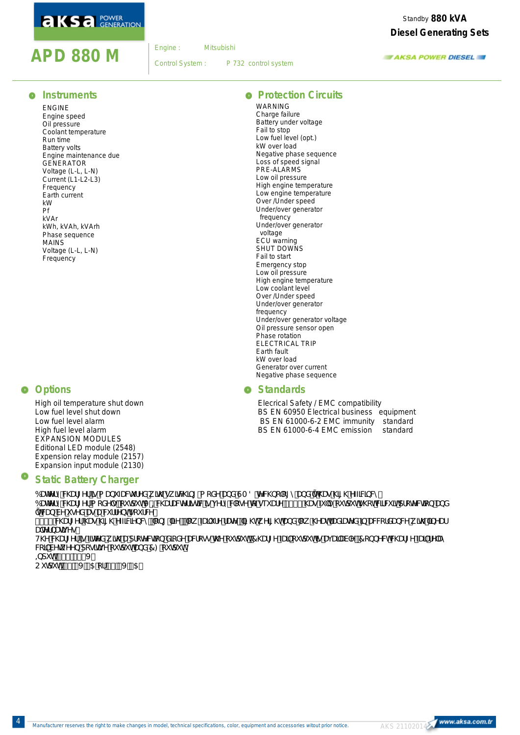# **AKSA** POWER

# **APD 880 M** Engine: Mitsubishi

Engine :

Control System :

P 732 control system

Standby 880 kVA **Diesel Generating Sets**

**AKSA POWER DIESEL** 

## $\bullet$  Instruments

ENGINE Engine speed Oil pressure Coolant temperature Run time Battery volts Engine maintenance due GENERATOR Voltage (L-L, L-N) Current (L1-L2-L3) Frequency Earth current kW Pf kVAr kWh, kVAh, kVArh Phase sequence MAINS Voltage (L-L, L-N) Frequency

## **O** Options

High oil temperature shut down Low fuel level shut down Low fuel level alarm High fuel level alarm EXPANSION MODULES Editional LED module (2548) Expension relay module (2157) Expansion input module (2130)

#### œ **Static Battery Charger**

6UHYfmWUff Yf Iq a Ubi ZUV fYX k Ih ck IhVIb[!a cXY UbX GA 8 HYWI bc c[ mUbX ih Uq \ I] \ 'YZZWbVM 6UHYfmWUf[Yfa cXY`gfici hdi hJ !=WUfUVWf|ghWlgj YfmWcgY hc gei UfY &(\$) `\Ug`Z ``mci hdi hg\chWjMV]hdfcHYWjcb UbX ïhWUb VY i qYX Uq U W ffYbhqci fW" &(\$)`WUf[Yf\Uq\][\`YZ]WYbWnž`cb[``]ZYž`ck`ZJ]`ifY`fUHYž`][\hkY][\hUbX`ck`\YUhfUX]UHYX`]b`UWVtfXUbW'k]h``]bYUf UTYfbUhj Yg" H\YWUr[Yf]g2]thYXk]h.UdfchYWhcbXJcXYUWcggh\Ycihdih'7\Uf[Y2U]`cihdih]gUjUJUVY"7cbbYWhWUf[Y2U]`fYUm WE] VYhk YYb dcg]hjj Y ci hdi hUbX 7: ci hdi h'  $\pm$ di h % \*! $8$ \* (J  $C$ i hdi h $8+2^x$ J ) 5 cf%  $\zeta$ J ) 5"

## **• Protection Circuits**

WARNING Charge failure Battery under voltage Fail to stop Low fuel level (opt.) kW over load Negative phase sequence Loss of speed signal PRE-ALARMS Low oil pressure High engine temperature Low engine temperature Over /Under speed Under/over generator frequency Under/over generator voltage ECU warning SHUT DOWNS Fail to start Emergency stop Low oil pressure High engine temperature Low coolant level Over /Under speed Under/over generator frequency Under/over generator voltage Oil pressure sensor open Phase rotation ELECTRICAL TRIP Earth fault kW over load Generator over current Negative phase sequence

## **<sup>o</sup>** Standards

Elecrical Safety / EMC compatibility BS EN 60950 Electrical business equipment BS EN 61000-6-2 EMC immunity standard BS EN 61000-6-4 EMC emission standard